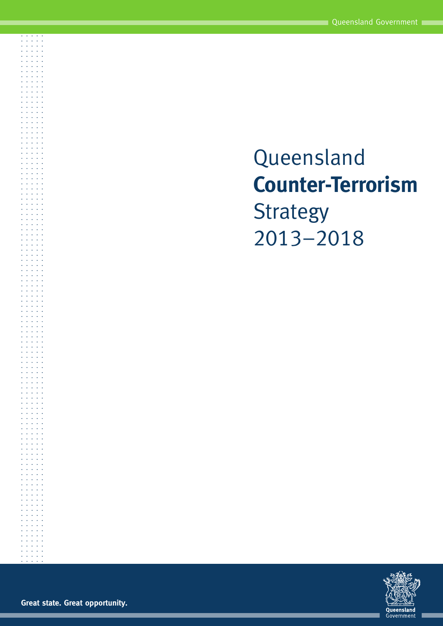# Queensland **Counter-Terrorism Strategy** 2013–2018



**Great state. Great opportunity.**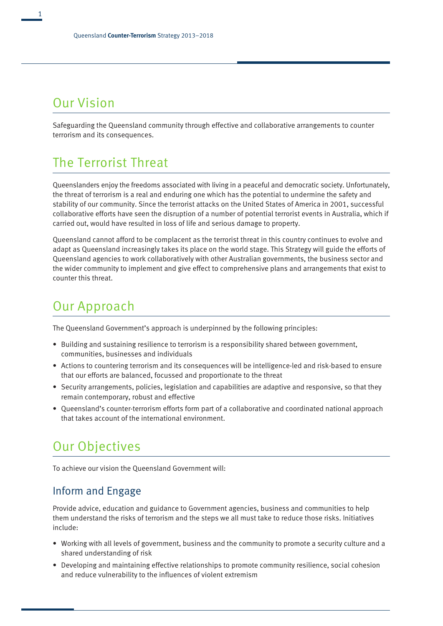## Our Vision

Safeguarding the Queensland community through effective and collaborative arrangements to counter terrorism and its consequences.

## The Terrorist Threat

Queenslanders enjoy the freedoms associated with living in a peaceful and democratic society. Unfortunately, the threat of terrorism is a real and enduring one which has the potential to undermine the safety and stability of our community. Since the terrorist attacks on the United States of America in 2001, successful collaborative efforts have seen the disruption of a number of potential terrorist events in Australia, which if carried out, would have resulted in loss of life and serious damage to property.

Queensland cannot afford to be complacent as the terrorist threat in this country continues to evolve and adapt as Queensland increasingly takes its place on the world stage. This Strategy will guide the efforts of Queensland agencies to work collaboratively with other Australian governments, the business sector and the wider community to implement and give effect to comprehensive plans and arrangements that exist to counter this threat.

## Our Approach

The Queensland Government's approach is underpinned by the following principles:

- Building and sustaining resilience to terrorism is a responsibility shared between government, communities, businesses and individuals
- Actions to countering terrorism and its consequences will be intelligence-led and risk-based to ensure that our efforts are balanced, focussed and proportionate to the threat
- Security arrangements, policies, legislation and capabilities are adaptive and responsive, so that they remain contemporary, robust and effective
- Queensland's counter-terrorism efforts form part of a collaborative and coordinated national approach that takes account of the international environment.

## Our Objectives

To achieve our vision the Queensland Government will:

#### Inform and Engage

Provide advice, education and guidance to Government agencies, business and communities to help them understand the risks of terrorism and the steps we all must take to reduce those risks. Initiatives include:

- Working with all levels of government, business and the community to promote a security culture and a shared understanding of risk
- Developing and maintaining effective relationships to promote community resilience, social cohesion and reduce vulnerability to the influences of violent extremism